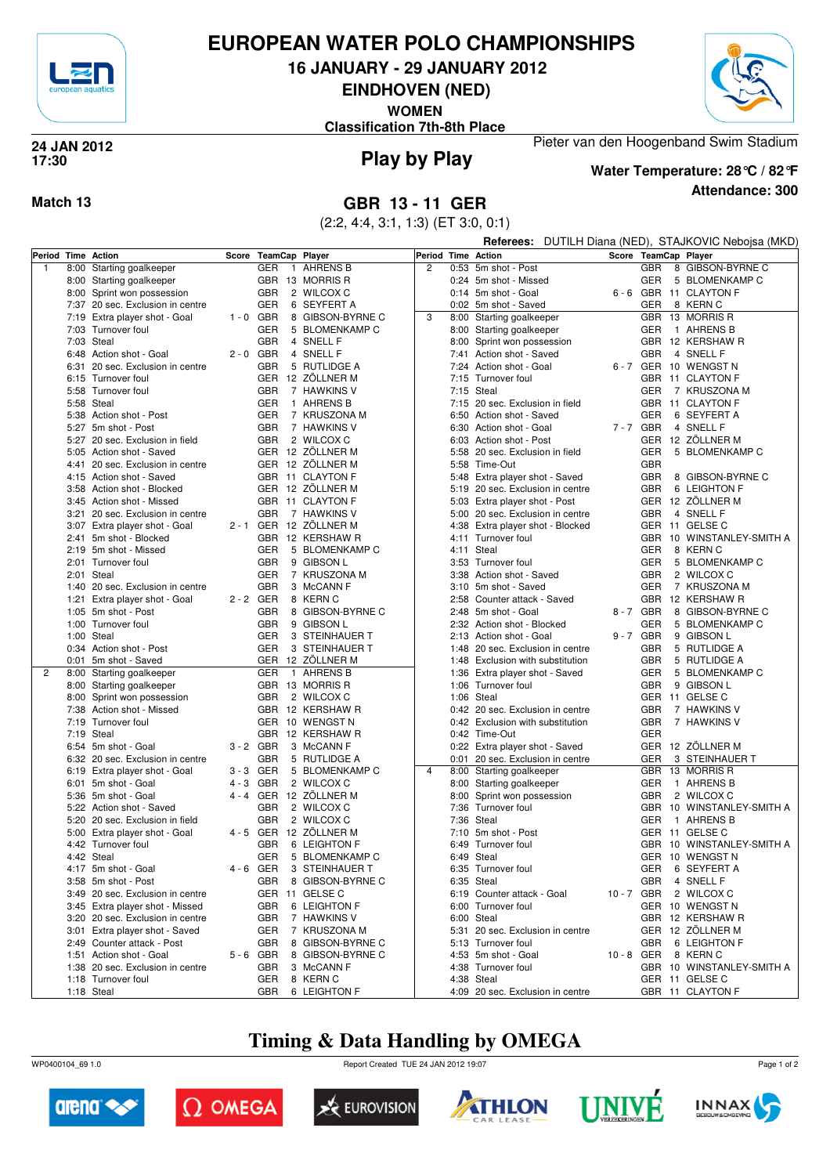

## **EUROPEAN WATER POLO CHAMPIONSHIPS**

**16 JANUARY - 29 JANUARY 2012**

**EINDHOVEN (NED)**

**WOMEN**

**Classification 7th-8th Place**



#### **Play by Play 24 JAN 2012 17:30**

### **Attendance: 300 Water Temperature: 28°C / 82°F**

Pieter van den Hoogenband Swim Stadium

### **Match 13 GBR 13 - 11 GER**

(2:2, 4:4, 3:1, 1:3) (ET 3:0, 0:1)

|                    |      |                                                     |             |                      |                                      |                    |  | <b>Referees:</b> DUTILH Diana (NED), STAJKOVIC Nebojsa (MKD)         |          |                          |  |                                             |
|--------------------|------|-----------------------------------------------------|-------------|----------------------|--------------------------------------|--------------------|--|----------------------------------------------------------------------|----------|--------------------------|--|---------------------------------------------|
| Period Time Action |      |                                                     |             | Score TeamCap Player |                                      | Period Time Action |  |                                                                      |          |                          |  | Score TeamCap Player                        |
| 1                  |      | 8:00 Starting goalkeeper                            |             | GER                  | 1 AHRENS B                           | $\overline{c}$     |  | 0:53 5m shot - Post                                                  |          | <b>GBR</b>               |  | 8 GIBSON-BYRNE C                            |
|                    |      | 8:00 Starting goalkeeper                            |             |                      | GBR 13 MORRIS R                      |                    |  | 0:24 5m shot - Missed                                                |          | <b>GER</b>               |  | 5 BLOMENKAMP C                              |
|                    |      | 8:00 Sprint won possession                          |             | <b>GBR</b>           | 2 WILCOX C                           |                    |  | 0:14 5m shot - Goal                                                  |          |                          |  | 6 - 6 GBR 11 CLAYTON F                      |
|                    |      | 7:37 20 sec. Exclusion in centre                    |             | GER                  | 6 SEYFERT A                          |                    |  | 0:02 5m shot - Saved                                                 |          | <b>GER</b>               |  | 8 KERN C                                    |
|                    |      | 7:19 Extra player shot - Goal                       | $1 - 0$ GBR |                      | 8 GIBSON-BYRNE C                     | 3                  |  | 8:00 Starting goalkeeper                                             |          |                          |  | GBR 13 MORRIS R                             |
|                    |      | 7:03 Turnover foul                                  |             | GER                  | 5 BLOMENKAMP C                       |                    |  | 8:00 Starting goalkeeper                                             |          | <b>GER</b>               |  | 1 AHRENS B                                  |
|                    |      | 7:03 Steal                                          |             | <b>GBR</b>           | 4 SNELL F                            |                    |  | 8:00 Sprint won possession                                           |          |                          |  | GBR 12 KERSHAW R                            |
|                    |      | 6:48 Action shot - Goal                             | $2 - 0$ GBR |                      | 4 SNELL F                            |                    |  | 7:41 Action shot - Saved                                             |          | <b>GBR</b>               |  | 4 SNELL F                                   |
|                    |      | 6:31 20 sec. Exclusion in centre                    |             | <b>GBR</b>           | 5 RUTLIDGE A                         |                    |  | 7:24 Action shot - Goal                                              |          |                          |  | 6-7 GER 10 WENGST N                         |
|                    |      | 6:15 Turnover foul<br>5:58 Turnover foul            |             | <b>GBR</b>           | GER 12 ZÖLLNER M<br>7 HAWKINS V      |                    |  | 7:15 Turnover foul<br>7:15 Steal                                     |          |                          |  | GBR 11 CLAYTON F<br>7 KRUSZONA M            |
|                    |      | 5:58 Steal                                          |             | GER                  | 1 AHRENS B                           |                    |  | 7:15 20 sec. Exclusion in field                                      |          | GER                      |  | GBR 11 CLAYTON F                            |
|                    |      | 5:38 Action shot - Post                             |             | GER                  | 7 KRUSZONA M                         |                    |  | 6:50 Action shot - Saved                                             |          | <b>GER</b>               |  | 6 SEYFERT A                                 |
|                    |      | 5:27 5m shot - Post                                 |             | <b>GBR</b>           | 7 HAWKINS V                          |                    |  | 6:30 Action shot - Goal                                              | 7-7 GBR  |                          |  | 4 SNELL F                                   |
|                    |      | 5:27 20 sec. Exclusion in field                     |             | <b>GBR</b>           | 2 WILCOX C                           |                    |  | 6:03 Action shot - Post                                              |          |                          |  | GER 12 ZÖLLNER M                            |
|                    |      | 5:05 Action shot - Saved                            |             |                      | GER 12 ZÖLLNER M                     |                    |  | 5:58 20 sec. Exclusion in field                                      |          | GER                      |  | 5 BLOMENKAMP C                              |
|                    |      | 4:41 20 sec. Exclusion in centre                    |             |                      | GER 12 ZÖLLNER M                     |                    |  | 5:58 Time-Out                                                        |          | <b>GBR</b>               |  |                                             |
|                    |      | 4:15 Action shot - Saved                            |             |                      | GBR 11 CLAYTON F                     |                    |  | 5:48 Extra player shot - Saved                                       |          |                          |  | 8 GIBSON-BYRNE C                            |
|                    |      | 3:58 Action shot - Blocked                          |             |                      | GER 12 ZÖLLNER M                     |                    |  | 5:19 20 sec. Exclusion in centre                                     |          | <b>GBR</b><br><b>GBR</b> |  | 6 LEIGHTON F                                |
|                    |      | 3:45 Action shot - Missed                           |             |                      | GBR 11 CLAYTON F                     |                    |  | 5:03 Extra player shot - Post                                        |          |                          |  | GER 12 ZÖLLNER M                            |
|                    |      | 3:21 20 sec. Exclusion in centre                    |             | <b>GBR</b>           | 7 HAWKINS V                          |                    |  | 5:00 20 sec. Exclusion in centre                                     |          | <b>GBR</b>               |  | 4 SNELL F                                   |
|                    |      | 3:07 Extra player shot - Goal                       |             |                      | 2 - 1 GER 12 ZÖLLNER M               |                    |  | 4:38 Extra player shot - Blocked                                     |          |                          |  | GER 11 GELSE C                              |
|                    |      | 2:41 5m shot - Blocked                              |             |                      | GBR 12 KERSHAW R                     |                    |  | 4:11 Turnover foul                                                   |          |                          |  | GBR 10 WINSTANLEY-SMITH A                   |
|                    |      | 2:19 5m shot - Missed                               |             | GER                  | 5 BLOMENKAMP C                       |                    |  | 4:11 Steal                                                           |          | <b>GER</b>               |  | 8 KERN C                                    |
|                    |      | 2:01 Turnover foul                                  |             | <b>GBR</b>           | 9 GIBSON L                           |                    |  | 3:53 Turnover foul                                                   |          | <b>GER</b>               |  | 5 BLOMENKAMP C                              |
|                    |      | 2:01 Steal                                          |             | GER                  | 7 KRUSZONA M                         |                    |  | 3:38 Action shot - Saved                                             |          | <b>GBR</b>               |  | 2 WILCOX C                                  |
|                    |      | 1:40 20 sec. Exclusion in centre                    |             | <b>GBR</b>           | 3 McCANN F                           |                    |  | 3:10 5m shot - Saved                                                 |          | <b>GER</b>               |  | 7 KRUSZONA M                                |
|                    | 1:21 | Extra player shot - Goal                            | 2-2 GER     |                      | 8 KERN C                             |                    |  | 2:58 Counter attack - Saved                                          |          |                          |  | GBR 12 KERSHAW R                            |
|                    |      | 1:05 5m shot - Post                                 |             | <b>GBR</b>           | 8 GIBSON-BYRNE C                     |                    |  | 2:48 5m shot - Goal                                                  |          | 8-7 GBR                  |  | 8 GIBSON-BYRNE C                            |
|                    |      | 1:00 Turnover foul                                  |             | <b>GBR</b>           | 9 GIBSON L                           |                    |  | 2:32 Action shot - Blocked                                           |          | GER                      |  | 5 BLOMENKAMP C                              |
|                    |      | 1:00 Steal                                          |             | GER                  | 3 STEINHAUER T                       |                    |  | 2:13 Action shot - Goal                                              | 9-7 GBR  |                          |  | 9 GIBSON L                                  |
|                    |      | 0:34 Action shot - Post<br>0:01 5m shot - Saved     |             | GER                  | 3 STEINHAUER T<br>GER 12 ZÖLLNER M   |                    |  | 1:48 20 sec. Exclusion in centre<br>1:48 Exclusion with substitution |          | <b>GBR</b><br><b>GBR</b> |  | 5 RUTLIDGE A<br>5 RUTLIDGE A                |
| 2                  |      | 8:00 Starting goalkeeper                            |             | GER                  | 1 AHRENS B                           |                    |  | 1:36 Extra player shot - Saved                                       |          | <b>GER</b>               |  | 5 BLOMENKAMP C                              |
|                    |      | 8:00 Starting goalkeeper                            |             |                      | GBR 13 MORRIS R                      |                    |  | 1:06 Turnover foul                                                   |          | <b>GBR</b>               |  | 9 GIBSON L                                  |
|                    |      | 8:00 Sprint won possession                          |             | <b>GBR</b>           | 2 WILCOX C                           |                    |  | 1:06 Steal                                                           |          |                          |  | GER 11 GELSE C                              |
|                    |      | 7:38 Action shot - Missed                           |             |                      | GBR 12 KERSHAW R                     |                    |  | 0:42 20 sec. Exclusion in centre                                     |          | <b>GBR</b>               |  | 7 HAWKINS V                                 |
|                    |      | 7:19 Turnover foul                                  |             |                      | GER 10 WENGST N                      |                    |  | 0:42 Exclusion with substitution                                     |          | <b>GBR</b>               |  | 7 HAWKINS V                                 |
|                    |      | 7:19 Steal                                          |             |                      | GBR 12 KERSHAW R                     |                    |  | 0:42 Time-Out                                                        |          | <b>GER</b>               |  |                                             |
|                    |      | 6:54 5m shot - Goal                                 | 3-2 GBR     |                      | 3 McCANN F                           |                    |  | 0:22 Extra player shot - Saved                                       |          |                          |  | GER 12 ZÖLLNER M                            |
|                    |      | 6:32 20 sec. Exclusion in centre                    |             | <b>GBR</b>           | 5 RUTLIDGE A                         |                    |  | 0:01 20 sec. Exclusion in centre                                     |          | GER                      |  | 3 STEINHAUER T                              |
|                    |      | 6:19 Extra player shot - Goal                       | 3-3 GER     |                      | 5 BLOMENKAMP C                       | $\overline{4}$     |  | 8:00 Starting goalkeeper                                             |          |                          |  | GBR 13 MORRIS R                             |
|                    |      | 6:01 5m shot - Goal                                 | $4 - 3$ GBR |                      | 2 WILCOX C                           |                    |  | 8:00 Starting goalkeeper                                             |          | <b>GER</b>               |  | 1 AHRENS B                                  |
|                    |      | 5:36 5m shot - Goal                                 |             |                      | 4 - 4 GER 12 ZOLLNER M               |                    |  | 8:00 Sprint won possession                                           |          | <b>GBR</b>               |  | 2 WILCOX C                                  |
|                    |      | 5:22 Action shot - Saved                            |             | <b>GBR</b>           | 2 WILCOX C                           |                    |  | 7:36 Turnover foul                                                   |          |                          |  | GBR 10 WINSTANLEY-SMITH A                   |
|                    |      | 5:20 20 sec. Exclusion in field                     |             | <b>GBR</b>           | 2 WILCOX C<br>4 - 5 GER 12 ZÖLLNER M |                    |  | 7:36 Steal                                                           |          | GER                      |  | 1 AHRENS B                                  |
|                    |      | 5:00 Extra player shot - Goal<br>4:42 Turnover foul |             | <b>GBR</b>           | 6 LEIGHTON F                         |                    |  | 7:10 5m shot - Post<br>6:49 Turnover foul                            |          |                          |  | GER 11 GELSE C<br>GBR 10 WINSTANLEY-SMITH A |
|                    |      | 4:42 Steal                                          |             | GER                  | 5 BLOMENKAMP C                       |                    |  | 6:49 Steal                                                           |          |                          |  | GER 10 WENGST N                             |
|                    |      | 4:17 5m shot - Goal                                 | 4-6 GER     |                      | 3 STEINHAUER T                       |                    |  | 6:35 Turnover foul                                                   |          | GER                      |  | 6 SEYFERT A                                 |
|                    |      | 3:58 5m shot - Post                                 |             | <b>GBR</b>           | 8 GIBSON-BYRNE C                     |                    |  | 6:35 Steal                                                           |          | <b>GBR</b>               |  | 4 SNELL F                                   |
|                    |      | 3:49 20 sec. Exclusion in centre                    |             |                      | GER 11 GELSE C                       |                    |  | 6:19 Counter attack - Goal                                           | 10-7 GBR |                          |  | 2 WILCOX C                                  |
|                    |      | 3:45 Extra player shot - Missed                     |             | GBR                  | 6 LEIGHTON F                         |                    |  | 6:00 Turnover foul                                                   |          |                          |  | GER 10 WENGST N                             |
|                    |      | 3:20 20 sec. Exclusion in centre                    |             | <b>GBR</b>           | 7 HAWKINS V                          |                    |  | 6:00 Steal                                                           |          |                          |  | GBR 12 KERSHAW R                            |
|                    |      | 3:01 Extra player shot - Saved                      |             | GER                  | 7 KRUSZONA M                         |                    |  | 5:31 20 sec. Exclusion in centre                                     |          |                          |  | GER 12 ZÖLLNER M                            |
|                    |      | 2:49 Counter attack - Post                          |             | <b>GBR</b>           | 8 GIBSON-BYRNE C                     |                    |  | 5:13 Turnover foul                                                   |          | <b>GBR</b>               |  | 6 LEIGHTON F                                |
|                    |      | 1:51 Action shot - Goal                             | 5-6 GBR     |                      | 8 GIBSON-BYRNE C                     |                    |  | 4:53 5m shot - Goal                                                  | 10-8 GER |                          |  | 8 KERN C                                    |
|                    |      | 1:38 20 sec. Exclusion in centre                    |             | <b>GBR</b>           | 3 McCANN F                           |                    |  | 4:38 Turnover foul                                                   |          |                          |  | GBR 10 WINSTANLEY-SMITH A                   |
|                    |      | 1:18 Turnover foul                                  |             | GER                  | 8 KERN C                             |                    |  | 4:38 Steal                                                           |          |                          |  | GER 11 GELSE C                              |
|                    |      | 1:18 Steal                                          |             | <b>GBR</b>           | 6 LEIGHTON F                         |                    |  | 4:09 20 sec. Exclusion in centre                                     |          |                          |  | GBR 11 CLAYTON F                            |

## **Timing & Data Handling by OMEGA**

WP0400104\_69 1.0 Report Created TUE 24 JAN 2012 19:07













Page 1 of 2